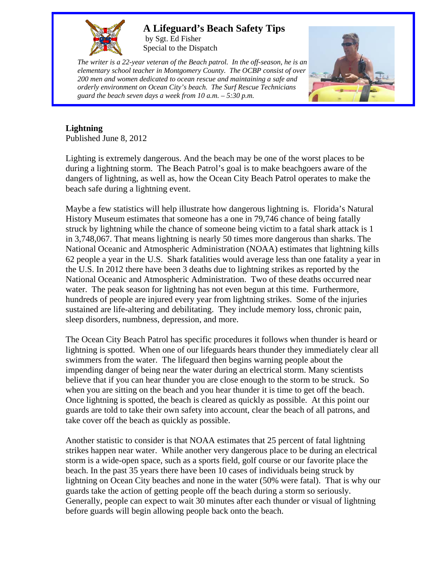

## **A Lifeguard's Beach Safety Tips**

by Sgt. Ed Fisher Special to the Dispatch

*The writer is a 22-year veteran of the Beach patrol. In the off-season, he is an elementary school teacher in Montgomery County. The OCBP consist of over 200 men and women dedicated to ocean rescue and maintaining a safe and orderly environment on Ocean City's beach. The Surf Rescue Technicians guard the beach seven days a week from 10 a.m. – 5:30 p.m.* 



## **Lightning**

Published June 8, 2012

Lighting is extremely dangerous. And the beach may be one of the worst places to be during a lightning storm. The Beach Patrol's goal is to make beachgoers aware of the dangers of lightning, as well as, how the Ocean City Beach Patrol operates to make the beach safe during a lightning event.

Maybe a few statistics will help illustrate how dangerous lightning is. Florida's Natural History Museum estimates that someone has a one in 79,746 chance of being fatally struck by lightning while the chance of someone being victim to a fatal shark attack is 1 in 3,748,067. That means lightning is nearly 50 times more dangerous than sharks. The National Oceanic and Atmospheric Administration (NOAA) estimates that lightning kills 62 people a year in the U.S. Shark fatalities would average less than one fatality a year in the U.S. In 2012 there have been 3 deaths due to lightning strikes as reported by the National Oceanic and Atmospheric Administration. Two of these deaths occurred near water. The peak season for lightning has not even begun at this time. Furthermore, hundreds of people are injured every year from lightning strikes. Some of the injuries sustained are life-altering and debilitating. They include memory loss, chronic pain, sleep disorders, numbness, depression, and more.

The Ocean City Beach Patrol has specific procedures it follows when thunder is heard or lightning is spotted. When one of our lifeguards hears thunder they immediately clear all swimmers from the water. The lifeguard then begins warning people about the impending danger of being near the water during an electrical storm. Many scientists believe that if you can hear thunder you are close enough to the storm to be struck. So when you are sitting on the beach and you hear thunder it is time to get off the beach. Once lightning is spotted, the beach is cleared as quickly as possible. At this point our guards are told to take their own safety into account, clear the beach of all patrons, and take cover off the beach as quickly as possible.

Another statistic to consider is that NOAA estimates that 25 percent of fatal lightning strikes happen near water. While another very dangerous place to be during an electrical storm is a wide-open space, such as a sports field, golf course or our favorite place the beach. In the past 35 years there have been 10 cases of individuals being struck by lightning on Ocean City beaches and none in the water (50% were fatal). That is why our guards take the action of getting people off the beach during a storm so seriously. Generally, people can expect to wait 30 minutes after each thunder or visual of lightning before guards will begin allowing people back onto the beach.